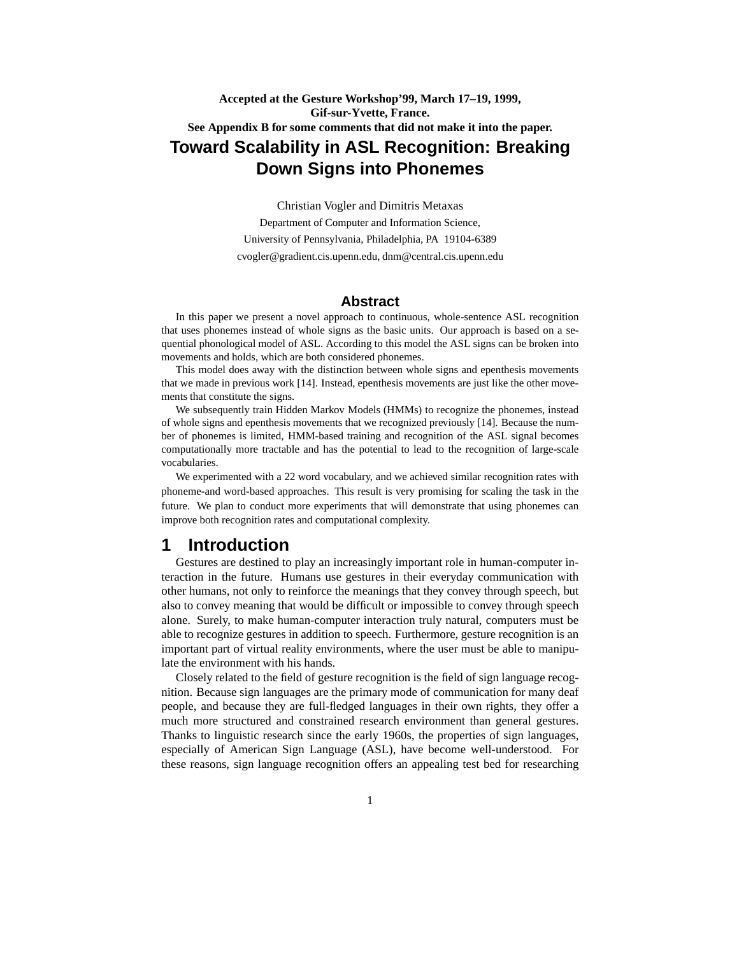## **Accepted at the Gesture Workshop'99, March 17–19, 1999, Gif-sur-Yvette, France. See Appendix B for some comments that did not make it into the paper. Toward Scalability in ASL Recognition: Breaking Down Signs into Phonemes**

Christian Vogler and Dimitris Metaxas Department of Computer and Information Science, University of Pennsylvania, Philadelphia, PA 19104-6389 cvogler@gradient.cis.upenn.edu, dnm@central.cis.upenn.edu

#### **Abstract**

In this paper we present a novel approach to continuous, whole-sentence ASL recognition that uses phonemes instead of whole signs as the basic units. Our approach is based on a sequential phonological model of ASL. According to this model the ASL signs can be broken into movements and holds, which are both considered phonemes.

This model does away with the distinction between whole signs and epenthesis movements that we made in previous work [14]. Instead, epenthesis movements are just like the other movements that constitute the signs.

We subsequently train Hidden Markov Models (HMMs) to recognize the phonemes, instead of whole signs and epenthesis movements that we recognized previously [14]. Because the number of phonemes is limited, HMM-based training and recognition of the ASL signal becomes computationally more tractable and has the potential to lead to the recognition of large-scale vocabularies.

We experimented with a 22 word vocabulary, and we achieved similar recognition rates with phoneme-and word-based approaches. This result is very promising for scaling the task in the future. We plan to conduct more experiments that will demonstrate that using phonemes can improve both recognition rates and computational complexity.

## **1 Introduction**

Gestures are destined to play an increasingly important role in human-computer interaction in the future. Humans use gestures in their everyday communication with other humans, not only to reinforce the meanings that they convey through speech, but also to convey meaning that would be difficult or impossible to convey through speech alone. Surely, to make human-computer interaction truly natural, computers must be able to recognize gestures in addition to speech. Furthermore, gesture recognition is an important part of virtual reality environments, where the user must be able to manipulate the environment with his hands.

Closely related to the field of gesture recognition is the field of sign language recognition. Because sign languages are the primary mode of communication for many deaf people, and because they are full-fledged languages in their own rights, they offer a much more structured and constrained research environment than general gestures. Thanks to linguistic research since the early 1960s, the properties of sign languages, especially of American Sign Language (ASL), have become well-understood. For these reasons, sign language recognition offers an appealing test bed for researching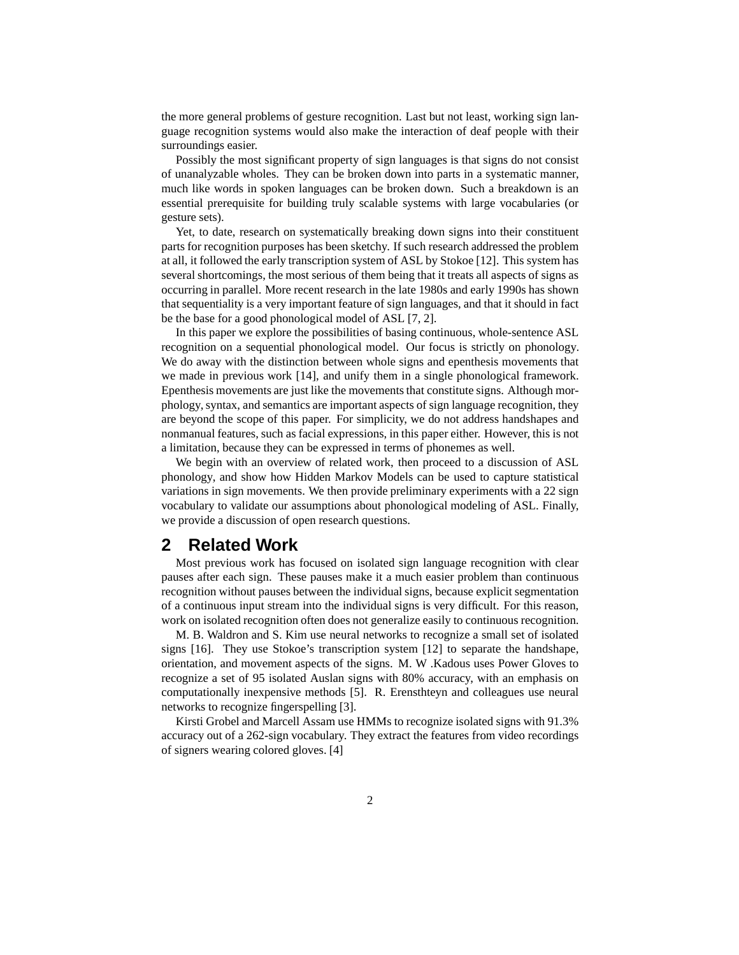the more general problems of gesture recognition. Last but not least, working sign language recognition systems would also make the interaction of deaf people with their surroundings easier.

Possibly the most significant property of sign languages is that signs do not consist of unanalyzable wholes. They can be broken down into parts in a systematic manner, much like words in spoken languages can be broken down. Such a breakdown is an essential prerequisite for building truly scalable systems with large vocabularies (or gesture sets).

Yet, to date, research on systematically breaking down signs into their constituent parts for recognition purposes has been sketchy. If such research addressed the problem at all, it followed the early transcription system of ASL by Stokoe [12]. This system has several shortcomings, the most serious of them being that it treats all aspects of signs as occurring in parallel. More recent research in the late 1980s and early 1990s has shown that sequentiality is a very important feature of sign languages, and that it should in fact be the base for a good phonological model of ASL [7, 2].

In this paper we explore the possibilities of basing continuous, whole-sentence ASL recognition on a sequential phonological model. Our focus is strictly on phonology. We do away with the distinction between whole signs and epenthesis movements that we made in previous work [14], and unify them in a single phonological framework. Epenthesis movements are just like the movements that constitute signs. Although morphology, syntax, and semantics are important aspects of sign language recognition, they are beyond the scope of this paper. For simplicity, we do not address handshapes and nonmanual features, such as facial expressions, in this paper either. However, this is not a limitation, because they can be expressed in terms of phonemes as well.

We begin with an overview of related work, then proceed to a discussion of ASL phonology, and show how Hidden Markov Models can be used to capture statistical variations in sign movements. We then provide preliminary experiments with a 22 sign vocabulary to validate our assumptions about phonological modeling of ASL. Finally, we provide a discussion of open research questions.

## **2 Related Work**

Most previous work has focused on isolated sign language recognition with clear pauses after each sign. These pauses make it a much easier problem than continuous recognition without pauses between the individual signs, because explicit segmentation of a continuous input stream into the individual signs is very difficult. For this reason, work on isolated recognition often does not generalize easily to continuous recognition.

M. B. Waldron and S. Kim use neural networks to recognize a small set of isolated signs [16]. They use Stokoe's transcription system [12] to separate the handshape, orientation, and movement aspects of the signs. M. W .Kadous uses Power Gloves to recognize a set of 95 isolated Auslan signs with 80% accuracy, with an emphasis on computationally inexpensive methods [5]. R. Erensthteyn and colleagues use neural networks to recognize fingerspelling [3].

Kirsti Grobel and Marcell Assam use HMMs to recognize isolated signs with 91.3% accuracy out of a 262-sign vocabulary. They extract the features from video recordings of signers wearing colored gloves. [4]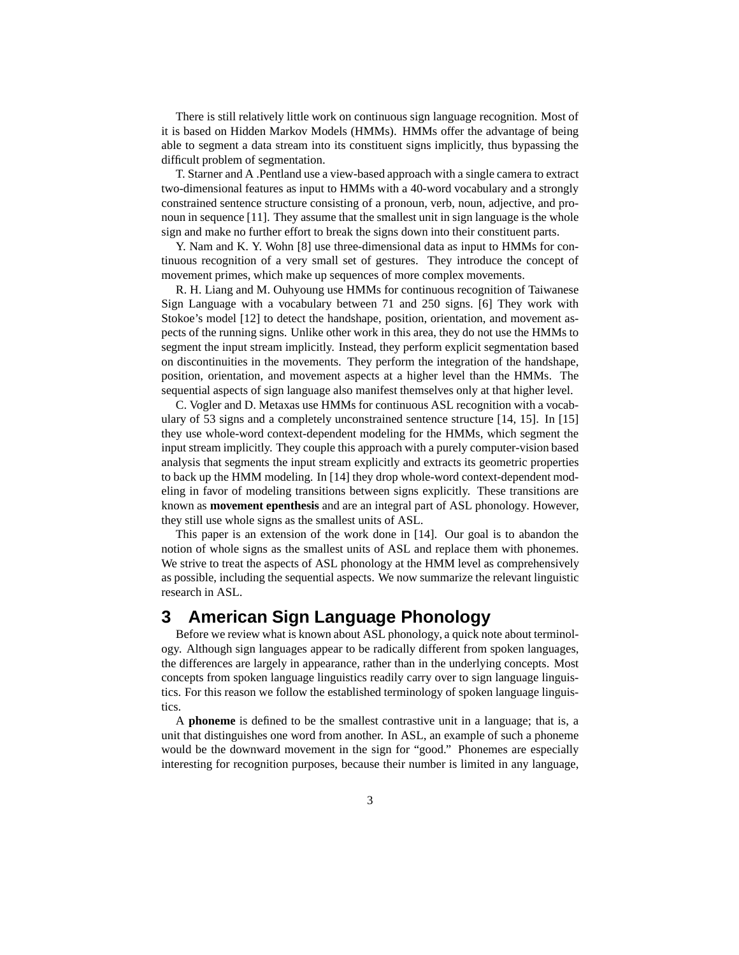There is still relatively little work on continuous sign language recognition. Most of it is based on Hidden Markov Models (HMMs). HMMs offer the advantage of being able to segment a data stream into its constituent signs implicitly, thus bypassing the difficult problem of segmentation.

T.Starner and A .Pentland use a view-based approach with a single camera to extract two-dimensional features as input to HMMs with a 40-word vocabulary and a strongly constrained sentence structure consisting of a pronoun, verb, noun, adjective, and pronoun in sequence [11]. They assume that the smallest unit in sign language is the whole sign and make no further effort to break the signs down into their constituent parts.

Y. Nam and K. Y. Wohn [8] use three-dimensional data as input to HMMs for continuous recognition of a very small set of gestures. They introduce the concept of movement primes, which make up sequences of more complex movements.

R. H. Liang and M. Ouhyoung use HMMs for continuous recognition of Taiwanese Sign Language with a vocabulary between 71 and 250 signs. [6] They work with Stokoe's model [12] to detect the handshape, position, orientation, and movement aspects of the running signs. Unlike other work in this area, they do not use the HMMs to segment the input stream implicitly. Instead, they perform explicit segmentation based on discontinuities in the movements. They perform the integration of the handshape, position, orientation, and movement aspects at a higher level than the HMMs. The sequential aspects of sign language also manifest themselves only at that higher level.

C. Vogler and D. Metaxas use HMMs for continuous ASL recognition with a vocabulary of 53 signs and a completely unconstrained sentence structure [14, 15]. In [15] they use whole-word context-dependent modeling for the HMMs, which segment the input stream implicitly. They couple this approach with a purely computer-vision based analysis that segments the input stream explicitly and extracts its geometric properties to back up the HMM modeling. In [14] they drop whole-word context-dependent modeling in favor of modeling transitions between signs explicitly. These transitions are known as **movement epenthesis** and are an integral part of ASL phonology. However, they still use whole signs as the smallest units of ASL.

This paper is an extension of the work done in [14]. Our goal is to abandon the notion of whole signs as the smallest units of ASL and replace them with phonemes. We strive to treat the aspects of ASL phonology at the HMM level as comprehensively as possible, including the sequential aspects. We now summarize the relevant linguistic research in ASL.

## **3 American Sign Language Phonology**

Before we review what is known about ASL phonology, a quick note about terminology. Although sign languages appear to be radically different from spoken languages, the differences are largely in appearance, rather than in the underlying concepts. Most concepts from spoken language linguistics readily carry over to sign language linguistics. For this reason we follow the established terminology of spoken language linguistics.

A **phoneme** is defined to be the smallest contrastive unit in a language; that is, a unit that distinguishes one word from another. In ASL, an example of such a phoneme would be the downward movement in the sign for "good." Phonemes are especially interesting for recognition purposes, because their number is limited in any language,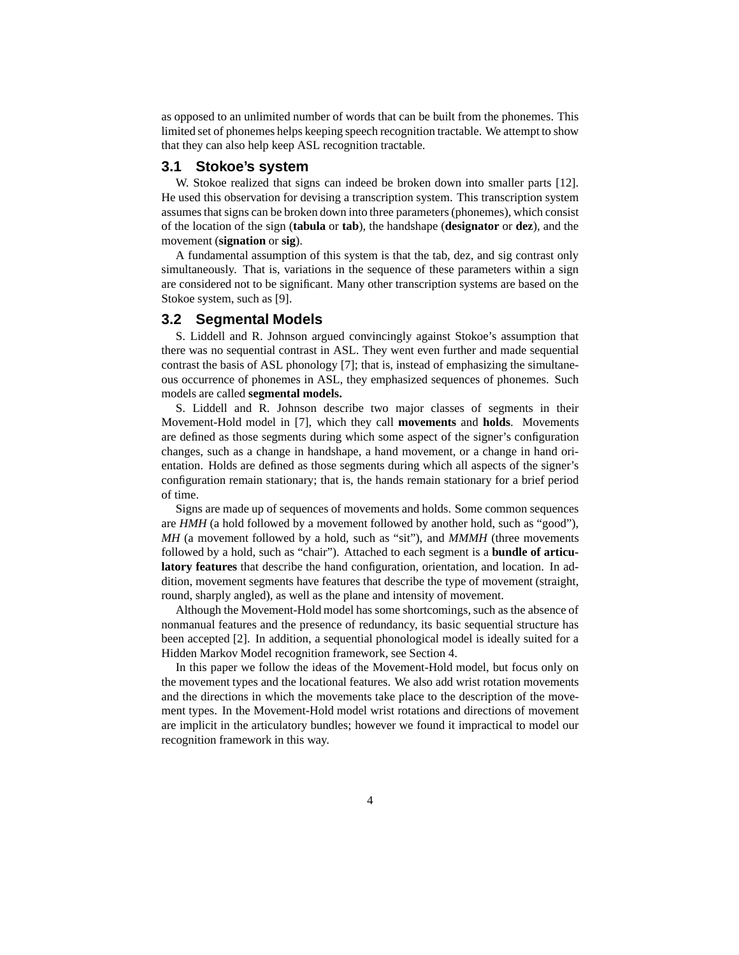as opposed to an unlimited number of words that can be built from the phonemes. This limited set of phonemes helps keeping speech recognition tractable. We attempt to show that they can also help keep ASL recognition tractable.

#### **3.1 Stokoe's system**

W. Stokoe realized that signs can indeed be broken down into smaller parts [12]. He used this observation for devising a transcription system. This transcription system assumes that signs can be broken down into three parameters (phonemes), which consist of the location of the sign (**tabula** or **tab**), the handshape (**designator** or **dez**), and the movement (**signation** or **sig**).

A fundamental assumption of this system is that the tab, dez, and sig contrast only simultaneously. That is, variations in the sequence of these parameters within a sign are considered not to be significant. Many other transcription systems are based on the Stokoe system, such as [9].

#### **3.2 Segmental Models**

S. Liddell and R. Johnson argued convincingly against Stokoe's assumption that there was no sequential contrast in ASL. They went even further and made sequential contrast the basis of ASL phonology [7]; that is, instead of emphasizing the simultaneous occurrence of phonemes in ASL, they emphasized sequences of phonemes. Such models are called **segmental models.**

S. Liddell and R. Johnson describe two major classes of segments in their Movement-Hold model in [7], which they call **movements** and **holds**. Movements are defined as those segments during which some aspect of the signer's configuration changes, such as a change in handshape, a hand movement, or a change in hand orientation. Holds are defined as those segments during which all aspects of the signer's configuration remain stationary; that is, the hands remain stationary for a brief period of time.

Signs are made up of sequences of movements and holds. Some common sequences are *HMH* (a hold followed by a movement followed by another hold, such as "good"), *MH* (a movement followed by a hold, such as "sit"), and *MMMH* (three movements followed by a hold, such as "chair"). Attached to each segment is a **bundle of articulatory features** that describe the hand configuration, orientation, and location. In addition, movement segments have features that describe the type of movement (straight, round, sharply angled), as well as the plane and intensity of movement.

Although the Movement-Hold model has some shortcomings, such as the absence of nonmanual features and the presence of redundancy, its basic sequential structure has been accepted [2]. In addition, a sequential phonological model is ideally suited for a Hidden Markov Model recognition framework, see Section 4.

In this paper we follow the ideas of the Movement-Hold model, but focus only on the movement types and the locational features. We also add wrist rotation movements and the directions in which the movements take place to the description of the movement types. In the Movement-Hold model wrist rotations and directions of movement are implicit in the articulatory bundles; however we found it impractical to model our recognition framework in this way.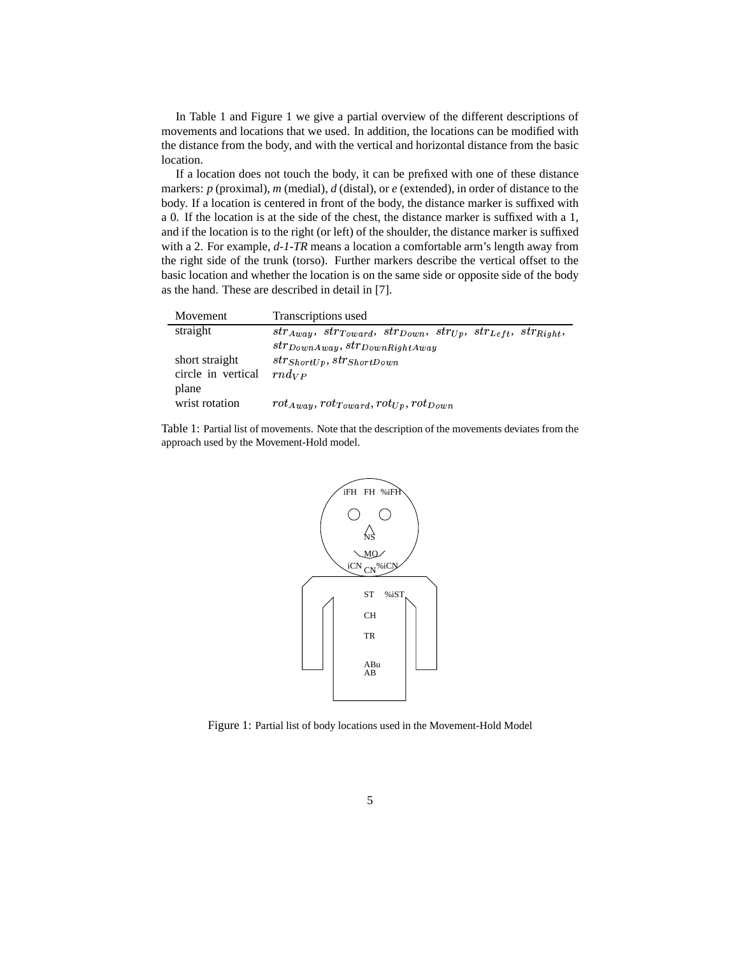In Table 1 and Figure 1 we give a partial overview of the different descriptions of movements and locations that we used. In addition, the locations can be modified with the distance from the body, and with the vertical and horizontal distance from the basic location.

If a location does not touch the body, it can be prefixed with one of these distance markers: *p* (proximal), *m* (medial), *d* (distal), or *e* (extended), in order of distance to the body. If a location is centered in front of the body, the distance marker is suffixed with a 0. If the location is at the side of the chest, the distance marker is suffixed with a 1, and if the location is to the right (or left) of the shoulder, the distance marker is suffixed with a 2. For example, *d-1-TR* means a location a comfortable arm's length away from the right side of the trunk (torso). Further markers describe the vertical offset to the basic location and whether the location is on the same side or opposite side of the body as the hand. These are described in detail in [7].

| Movement           | Transcriptions used                                                                        |  |  |
|--------------------|--------------------------------------------------------------------------------------------|--|--|
| straight           | $str_{Away}$ , $str_{Ioward}$ , $str_{Down}$ , $str_{Up}$ , $str_{Left}$ , $str_{Right}$ , |  |  |
|                    | $str_{DownAway}, str_{DownRightAway}$                                                      |  |  |
| short straight     | $str_{ShortUp}, str_{ShortDown}$                                                           |  |  |
| circle in vertical | $rnd_{VP}$                                                                                 |  |  |
| plane              |                                                                                            |  |  |
| wrist rotation     | $rot_{Away}$ , $rot_{Toward}$ , $rot_{Up}$ , $rot_{Down}$                                  |  |  |

Table 1: Partial list of movements. Note that the description of the movements deviates from the approach used by the Movement-Hold model.



Figure 1: Partial list of body locations used in the Movement-Hold Model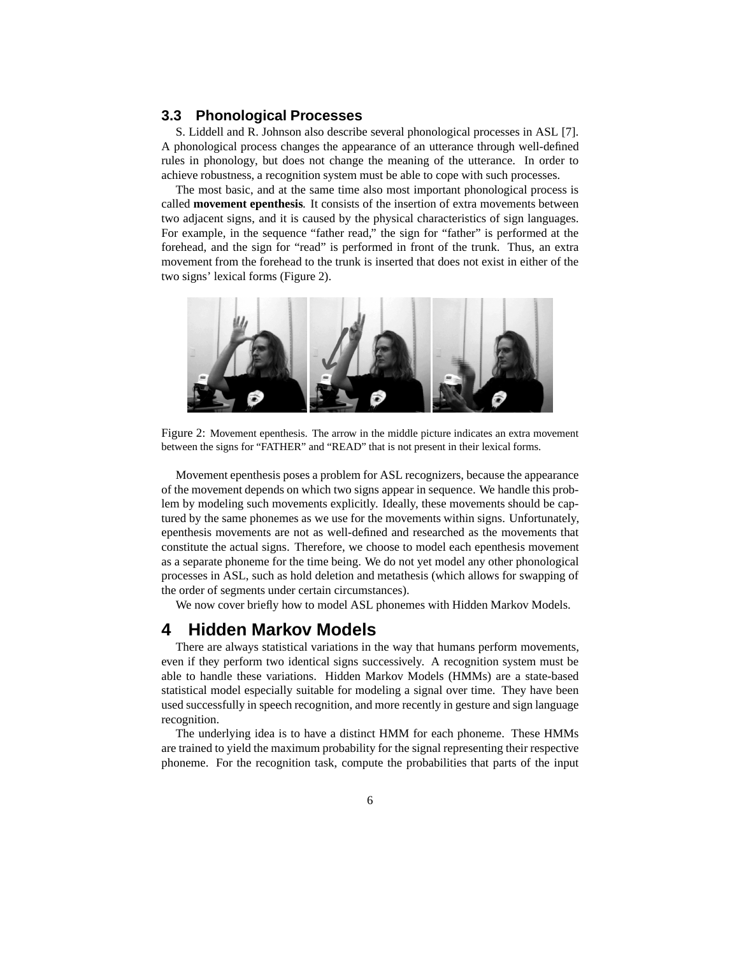#### **3.3 Phonological Processes**

S. Liddell and R. Johnson also describe several phonological processes in ASL [7]. A phonological process changes the appearance of an utterance through well-defined rules in phonology, but does not change the meaning of the utterance. In order to achieve robustness, a recognition system must be able to cope with such processes.

The most basic, and at the same time also most important phonological process is called **movement epenthesis**. It consists of the insertion of extra movements between two adjacent signs, and it is caused by the physical characteristics of sign languages. For example, in the sequence "father read," the sign for "father" is performed at the forehead, and the sign for "read" is performed in front of the trunk. Thus, an extra movement from the forehead to the trunk is inserted that does not exist in either of the two signs' lexical forms (Figure 2).



Figure 2: Movement epenthesis. The arrow in the middle picture indicates an extra movement between the signs for "FATHER" and "READ" that is not present in their lexical forms.

Movement epenthesis poses a problem for ASL recognizers, because the appearance of the movement depends on which two signs appear in sequence. We handle this problem by modeling such movements explicitly. Ideally, these movements should be captured by the same phonemes as we use for the movements within signs. Unfortunately, epenthesis movements are not as well-defined and researched as the movements that constitute the actual signs. Therefore, we choose to model each epenthesis movement as a separate phoneme for the time being. We do not yet model any other phonological processes in ASL, such as hold deletion and metathesis (which allows for swapping of the order of segments under certain circumstances).

We now cover briefly how to model ASL phonemes with Hidden Markov Models.

## **4 Hidden Markov Models**

There are always statistical variations in the way that humans perform movements, even if they perform two identical signs successively. A recognition system must be able to handle these variations. Hidden Markov Models (HMMs) are a state-based statistical model especially suitable for modeling a signal over time. They have been used successfully in speech recognition, and more recently in gesture and sign language recognition.

The underlying idea is to have a distinct HMM for each phoneme. These HMMs are trained to yield the maximum probability for the signal representing their respective phoneme. For the recognition task, compute the probabilities that parts of the input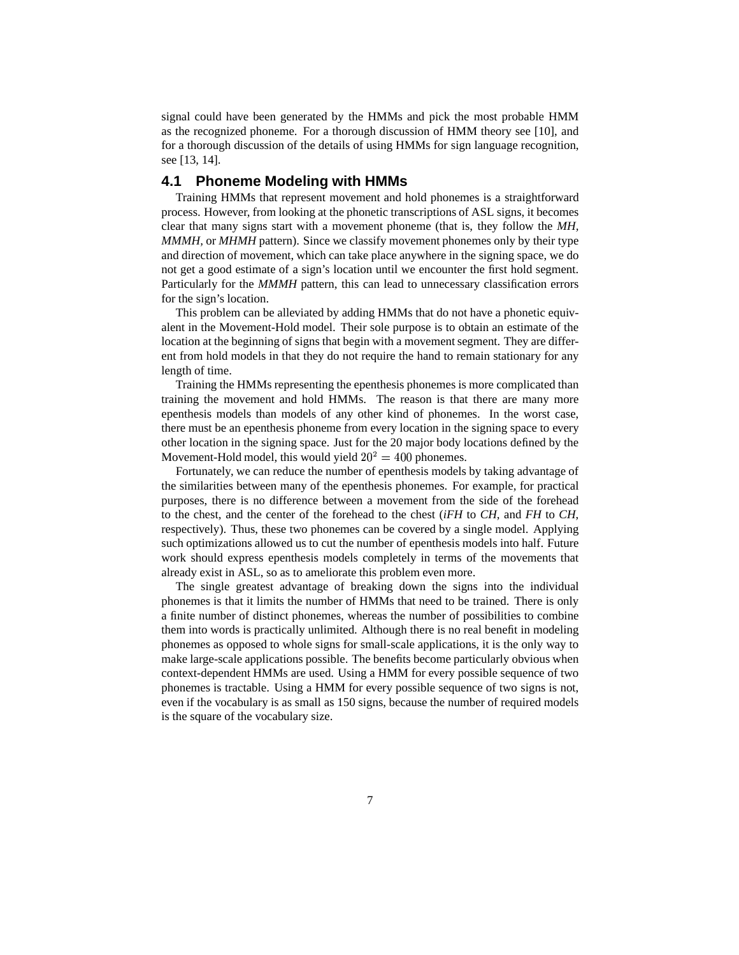signal could have been generated by the HMMs and pick the most probable HMM as the recognized phoneme. For a thorough discussion of HMM theory see [10], and for a thorough discussion of the details of using HMMs for sign language recognition, see [13, 14].

#### **4.1 Phoneme Modeling with HMMs**

Training HMMs that represent movement and hold phonemes is a straightforward process. However, from looking at the phonetic transcriptions of ASL signs, it becomes clear that many signs start with a movement phoneme (that is, they follow the *MH, MMMH,* or *MHMH* pattern). Since we classify movement phonemes only by their type and direction of movement, which can take place anywhere in the signing space, we do not get a good estimate of a sign's location until we encounter the first hold segment. Particularly for the *MMMH* pattern, this can lead to unnecessary classification errors for the sign's location.

This problem can be alleviated by adding HMMs that do not have a phonetic equivalent in the Movement-Hold model. Their sole purpose is to obtain an estimate of the location at the beginning of signs that begin with a movement segment. They are different from hold models in that they do not require the hand to remain stationary for any length of time.

Training the HMMs representing the epenthesis phonemes is more complicated than training the movement and hold HMMs. The reason is that there are many more epenthesis models than models of any other kind of phonemes. In the worst case, there must be an epenthesis phoneme from every location in the signing space to every other location in the signing space. Just for the 20 major body locations defined by the Movement-Hold model, this would yield  $20^2 = 400$  phonemes.

Fortunately, we can reduce the number of epenthesis models by taking advantage of the similarities between many of the epenthesis phonemes. For example, for practical purposes, there is no difference between a movement from the side of the forehead to the chest, and the center of the forehead to the chest (*iFH* to *CH*, and *FH* to *CH*, respectively). Thus, these two phonemes can be covered by a single model. Applying such optimizations allowed us to cut the number of epenthesis models into half. Future work should express epenthesis models completely in terms of the movements that already exist in ASL, so as to ameliorate this problem even more.

The single greatest advantage of breaking down the signs into the individual phonemes is that it limits the number of HMMs that need to be trained. There is only a finite number of distinct phonemes, whereas the number of possibilities to combine them into words is practically unlimited. Although there is no real benefit in modeling phonemes as opposed to whole signs for small-scale applications, it is the only way to make large-scale applications possible. The benefits become particularly obvious when context-dependent HMMs are used. Using a HMM for every possible sequence of two phonemes is tractable. Using a HMM for every possible sequence of two signs is not, even if the vocabulary is as small as 150 signs, because the number of required models is the square of the vocabulary size.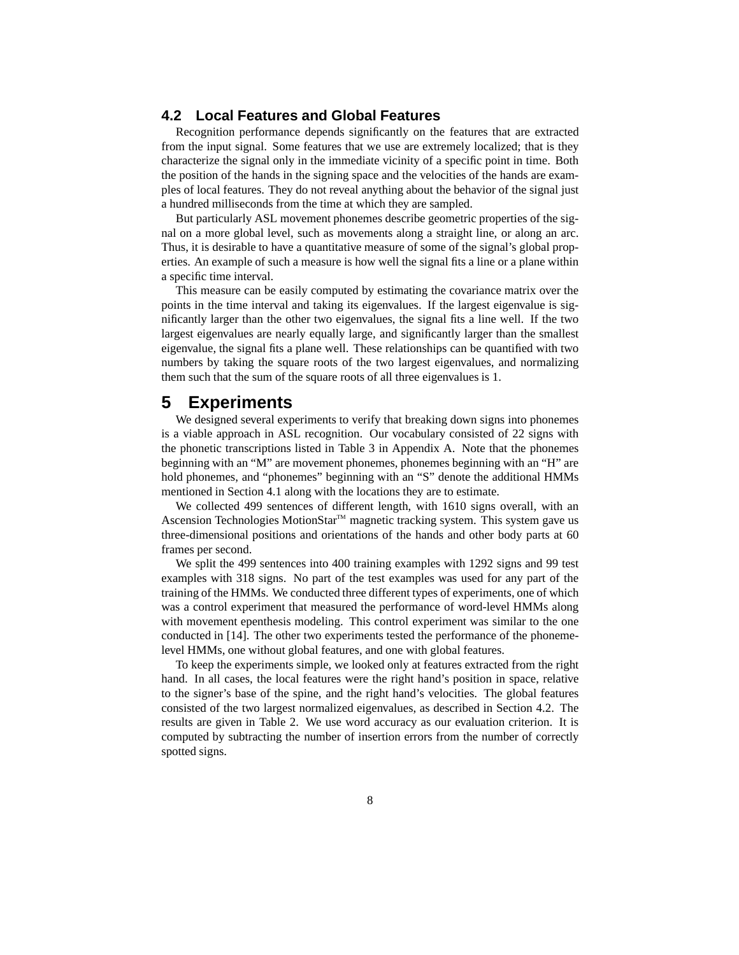#### **4.2 Local Features and Global Features**

Recognition performance depends significantly on the features that are extracted from the input signal. Some features that we use are extremely localized; that is they characterize the signal only in the immediate vicinity of a specific point in time. Both the position of the hands in the signing space and the velocities of the hands are examples of local features. They do not reveal anything about the behavior of the signal just a hundred milliseconds from the time at which they are sampled.

But particularly ASL movement phonemes describe geometric properties of the signal on a more global level, such as movements along a straight line, or along an arc. Thus, it is desirable to have a quantitative measure of some of the signal's global properties. An example of such a measure is how well the signal fits a line or a plane within a specific time interval.

This measure can be easily computed by estimating the covariance matrix over the points in the time interval and taking its eigenvalues. If the largest eigenvalue is significantly larger than the other two eigenvalues, the signal fits a line well. If the two largest eigenvalues are nearly equally large, and significantly larger than the smallest eigenvalue, the signal fits a plane well. These relationships can be quantified with two numbers by taking the square roots of the two largest eigenvalues, and normalizing them such that the sum of the square roots of all three eigenvalues is 1.

## **5 Experiments**

We designed several experiments to verify that breaking down signs into phonemes is a viable approach in ASL recognition. Our vocabulary consisted of 22 signs with the phonetic transcriptions listed in Table 3 in Appendix A. Note that the phonemes beginning with an "M" are movement phonemes, phonemes beginning with an "H" are hold phonemes, and "phonemes" beginning with an "S" denote the additional HMMs mentioned in Section 4.1 along with the locations they are to estimate.

We collected 499 sentences of different length, with 1610 signs overall, with an Ascension Technologies MotionStar<sup>™</sup> magnetic tracking system. This system gave us three-dimensional positions and orientations of the hands and other body parts at 60 frames per second.

We split the 499 sentences into 400 training examples with 1292 signs and 99 test examples with 318 signs. No part of the test examples was used for any part of the training of the HMMs. We conducted three differenttypes of experiments, one of which was a control experiment that measured the performance of word-level HMMs along with movement epenthesis modeling. This control experiment was similar to the one conducted in [14]. The other two experiments tested the performance of the phonemelevel HMMs, one without global features, and one with global features.

To keep the experiments simple, we looked only at features extracted from the right hand. In all cases, the local features were the right hand's position in space, relative to the signer's base of the spine, and the right hand's velocities. The global features consisted of the two largest normalized eigenvalues, as described in Section 4.2. The results are given in Table 2. We use word accuracy as our evaluation criterion. It is computed by subtracting the number of insertion errors from the number of correctly spotted signs.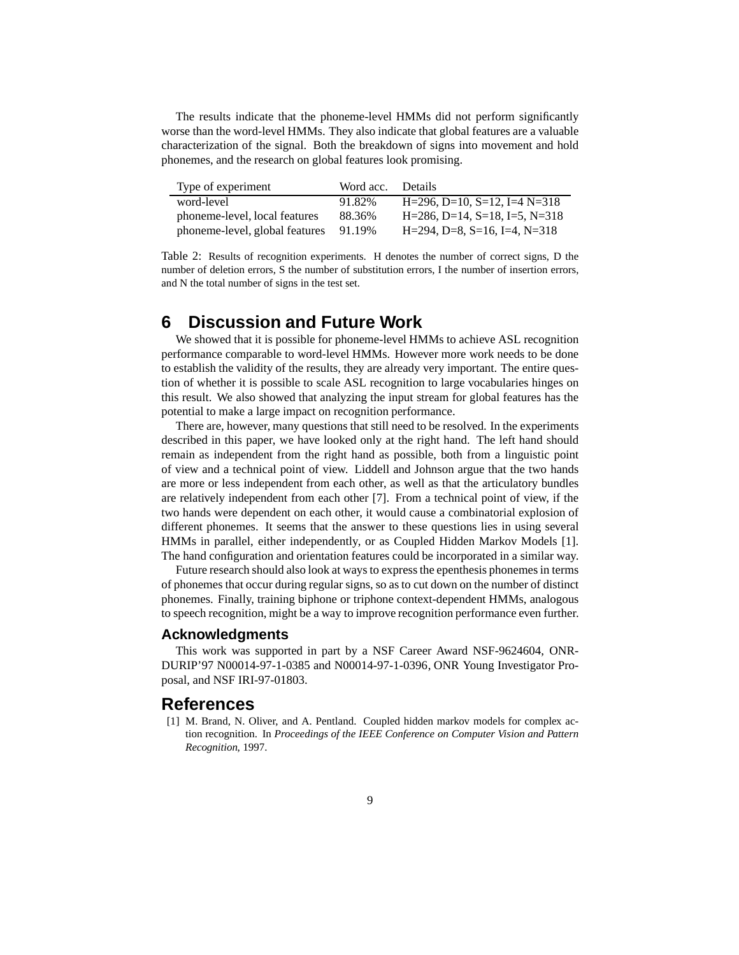The results indicate that the phoneme-level HMMs did not perform significantly worse than the word-level HMMs. They also indicate that global features are a valuable characterization of the signal. Both the breakdown of signs into movement and hold phonemes, and the research on global features look promising.

| Type of experiment             | Word acc. | <b>Details</b>                   |
|--------------------------------|-----------|----------------------------------|
| word-level                     | 91.82%    | H=296, D=10, S=12, I=4 N=318     |
| phoneme-level, local features  | 88.36%    | $H=286$ , D=14, S=18, I=5, N=318 |
| phoneme-level, global features | 91.19%    | $H=294$ , D=8, S=16, I=4, N=318  |

Table 2: Results of recognition experiments. H denotes the number of correct signs, D the number of deletion errors, S the number of substitution errors, I the number of insertion errors, and N the total number of signs in the test set.

## **6 Discussion and Future Work**

We showed that it is possible for phoneme-level HMMs to achieve ASL recognition performance comparable to word-level HMMs. However more work needs to be done to establish the validity of the results, they are already very important. The entire question of whether it is possible to scale ASL recognition to large vocabularies hinges on this result. We also showed that analyzing the input stream for global features has the potential to make a large impact on recognition performance.

There are, however, many questions that still need to be resolved. In the experiments described in this paper, we have looked only at the right hand. The left hand should remain as independent from the right hand as possible, both from a linguistic point of view and a technical point of view. Liddell and Johnson argue that the two hands are more or less independent from each other, as well as that the articulatory bundles are relatively independent from each other [7]. From a technical point of view, if the two hands were dependent on each other, it would cause a combinatorial explosion of different phonemes. It seems that the answer to these questions lies in using several HMMs in parallel, either independently, or as Coupled Hidden Markov Models [1]. The hand configuration and orientation features could be incorporated in a similar way.

Future research should also look at ways to express the epenthesis phonemes in terms of phonemes that occur during regular signs, so as to cut down on the number of distinct phonemes. Finally, training biphone or triphone context-dependent HMMs, analogous to speech recognition, might be a way to improve recognition performance even further.

#### **Acknowledgments**

This work was supported in part by a NSF Career Award NSF-9624604, ONR-DURIP'97 N00014-97-1-0385 and N00014-97-1-0396, ONR Young Investigator Proposal, and NSF IRI-97-01803.

## **References**

[1] M. Brand, N. Oliver, and A. Pentland. Coupled hidden markov models for complex action recognition. In *Proceedings of the IEEE Conference on Computer Vision and Pattern Recognition*, 1997.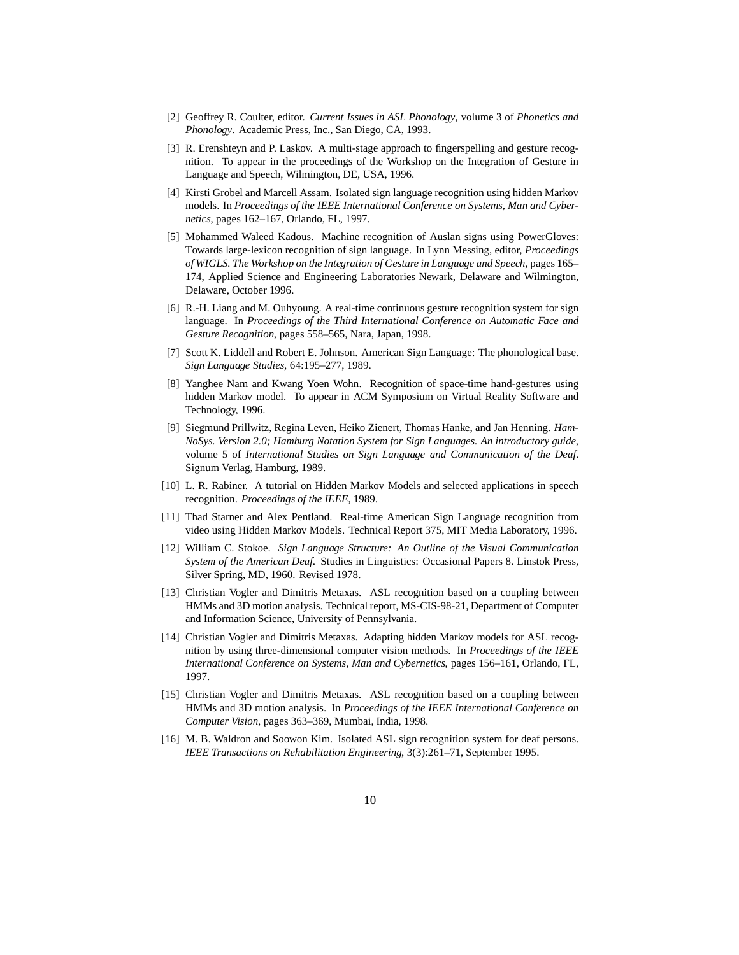- [2] Geoffrey R. Coulter, editor. *Current Issues in ASL Phonology*, volume 3 of *Phonetics and Phonology*. Academic Press, Inc., San Diego, CA, 1993.
- [3] R. Erenshteyn and P. Laskov. A multi-stage approach to fingerspelling and gesture recognition. To appear in the proceedings of the Workshop on the Integration of Gesture in Language and Speech, Wilmington, DE, USA, 1996.
- [4] Kirsti Grobel and Marcell Assam. Isolated sign language recognition using hidden Markov models. In *Proceedings of the IEEE International Conference on Systems, Man and Cybernetics*, pages 162–167, Orlando, FL, 1997.
- [5] Mohammed Waleed Kadous. Machine recognition of Auslan signs using PowerGloves: Towards large-lexicon recognition of sign language. In Lynn Messing, editor, *Proceedings of WIGLS. The Workshop on the Integration of Gesture in Language and Speech*, pages 165– 174, Applied Science and Engineering Laboratories Newark, Delaware and Wilmington, Delaware, October 1996.
- [6] R.-H. Liang and M. Ouhyoung. A real-time continuous gesture recognition system for sign language. In *Proceedings of the Third International Conference on Automatic Face and Gesture Recognition*, pages 558–565, Nara, Japan, 1998.
- [7] Scott K. Liddell and Robert E. Johnson. American Sign Language: The phonological base. *Sign Language Studies*, 64:195–277, 1989.
- [8] Yanghee Nam and Kwang Yoen Wohn. Recognition of space-time hand-gestures using hidden Markov model. To appear in ACM Symposium on Virtual Reality Software and Technology, 1996.
- [9] Siegmund Prillwitz, Regina Leven, Heiko Zienert, Thomas Hanke, and Jan Henning. *Ham-NoSys. Version 2.0; Hamburg Notation System for Sign Languages. An introductory guide*, volume 5 of *International Studies on Sign Language and Communication of the Deaf*. Signum Verlag, Hamburg, 1989.
- [10] L. R. Rabiner. A tutorial on Hidden Markov Models and selected applications in speech recognition. *Proceedings of the IEEE*, 1989.
- [11] Thad Starner and Alex Pentland. Real-time American Sign Language recognition from video using Hidden Markov Models. Technical Report 375, MIT Media Laboratory, 1996.
- [12] William C. Stokoe. *Sign Language Structure: An Outline of the Visual Communication System of the American Deaf*. Studies in Linguistics: Occasional Papers 8. Linstok Press, Silver Spring, MD, 1960. Revised 1978.
- [13] Christian Vogler and Dimitris Metaxas. ASL recognition based on a coupling between HMMs and 3D motion analysis. Technical report, MS-CIS-98-21, Department of Computer and Information Science, University of Pennsylvania.
- [14] Christian Vogler and Dimitris Metaxas. Adapting hidden Markov models for ASL recognition by using three-dimensional computer vision methods. In *Proceedings of the IEEE International Conference on Systems, Man and Cybernetics*, pages 156–161, Orlando, FL, 1997.
- [15] Christian Vogler and Dimitris Metaxas. ASL recognition based on a coupling between HMMs and 3D motion analysis. In *Proceedings of the IEEE International Conference on Computer Vision*, pages 363–369, Mumbai, India, 1998.
- [16] M. B. Waldron and Soowon Kim. Isolated ASL sign recognition system for deaf persons. *IEEE Transactions on Rehabilitation Engineering*, 3(3):261–71, September 1995.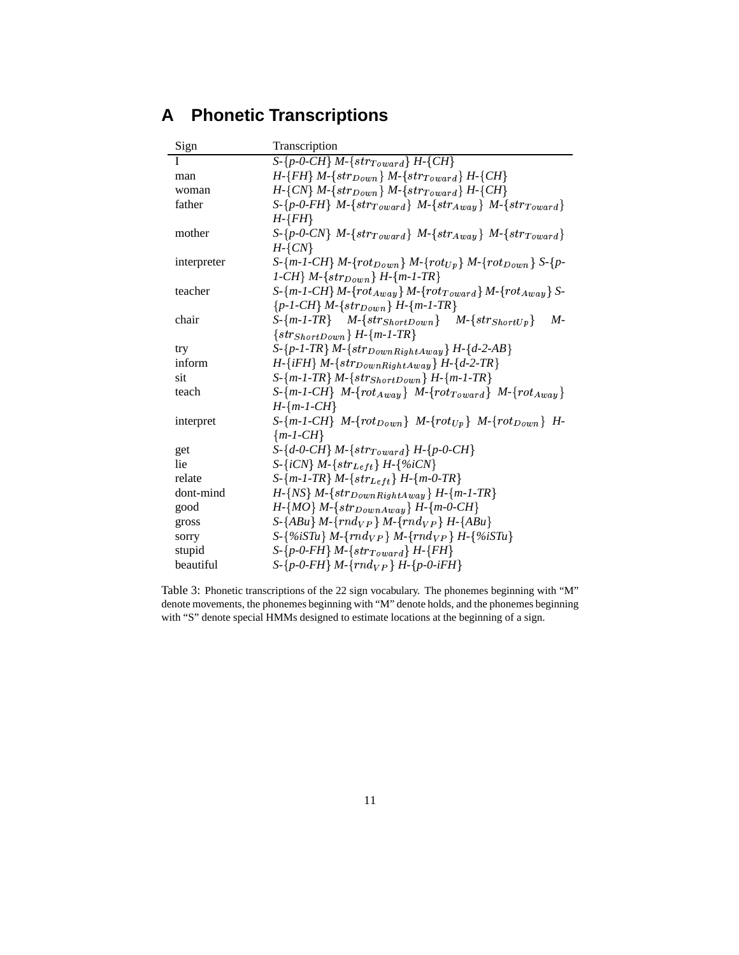# **A Phonetic Transcriptions**

| Sign        | Transcription                                                                                 |
|-------------|-----------------------------------------------------------------------------------------------|
| L           | $S$ -{p-0-CH} $M$ -{str <sub>Toward</sub> } $H$ -{CH}                                         |
| man         | $H$ -{FH} $M$ -{str <sub>Down</sub> } $M$ -{str <sub>Toward</sub> } $H$ -{CH}                 |
| woman       | $H$ -{CN} $M$ -{ $str_{Down}$ } $M$ -{ $str_{Ioward}$ } $H$ -{CH}                             |
| father      | S- $\{p\text{-}0\text{-}FH\}$ M- $\{str_{Toward}\}$ M- $\{str_{Away}\}$ M- $\{str_{Toward}\}$ |
|             | $H$ -{ $FH$ }                                                                                 |
| mother      | S- $\{p\text{-}0\text{-}CN\}$ M- $\{str_{Toward}\}$ M- $\{str_{Away}\}$ M- $\{str_{Toward}\}$ |
|             | $H - \{CN\}$                                                                                  |
| interpreter | S-{m-1-CH} M-{ $rot_{Down}$ } M-{ $rot_{Up}$ } M-{ $rot_{Down}$ } S-{p-                       |
|             | 1-CH M-{ $str_{Down}$ H-{m-1-TR}                                                              |
| teacher     | $S-$ {m-1-CH} M-{ $rot_{Away}$ } M-{ $rot_{Toward}$ } M-{ $rot_{Away}$ } S-                   |
|             | ${p-l-CH} M-{str_{Down}} H-{m-l-TR}$                                                          |
| chair       | $S$ -{m-1-TR} $M$ -{str <sub>ShortDown</sub> } $M$ -{str <sub>ShortUp</sub> }<br>$M-$         |
|             | $\{str_{ShortDown}\}$ H-{m-1-TR}                                                              |
| try         | $S$ -{p-1-TR} M-{str <sub>DownRightAway</sub> } H-{d-2-AB}                                    |
| inform      | $H$ -{iFH} $M$ -{str <sub>DownRightAway</sub> } $H$ -{d-2-TR}                                 |
| sit         | $S-$ {m-1-TR} $M-$ {str <sub>ShortDown</sub> } $H-$ {m-1-TR}                                  |
| teach       | $S-$ {m-1-CH} M-{ $rot_{Away}$ } M-{ $rot_{Toward}$ } M-{ $rot_{Away}$ }                      |
|             | $H$ -{ $m$ -1-CH}                                                                             |
| interpret   | $S-$ {m-1-CH} $M$ -{ $rot_{Down}$ } $M$ -{ $rot_{Up}$ } $M$ -{ $rot_{Down}$ } $H$ -           |
|             | ${m-1-CH}$                                                                                    |
| get         | $S - \{d - O - CH\}$ M- $\{str_{Toward}\}$ H- $\{p - O - CH\}$                                |
| lie         | S-{ $iCN$ } M-{ $str_{Left}$ } H-{% $iCN$ }                                                   |
| relate      | $S-$ {m-1-TR} M-{str <sub>Left</sub> } H-{m-0-TR}                                             |
| dont-mind   | $H$ -{NS} $M$ -{str <sub>DownRightAway</sub> } $H$ -{m-1-TR}                                  |
| good        | $H$ -{MO} $M$ -{ $str_{DownAway}$ } $H$ -{ $m$ -0-CH}                                         |
| gross       | $S$ -{ABu} M-{ $rnd_{VP}$ } M-{ $rnd_{VP}$ } H-{ABu}                                          |
| sorry       | $S-\{\%iSTu\} M-\{rnd_{VP}\} M-\{rnd_{VP}\} H-\{\%iSTu\}$                                     |
| stupid      | $S$ -{p-0-FH} M-{str <sub>Toward</sub> } H-{FH}                                               |
| beautiful   | $S$ -{p-0-FH} M-{ $rnd_{VP}$ } H-{p-0-iFH}                                                    |

Table 3: Phonetic transcriptions of the 22 sign vocabulary. The phonemes beginning with "M" denote movements, the phonemes beginning with "M" denote holds, and the phonemes beginning with "S" denote special HMMs designed to estimate locations at the beginning of a sign.